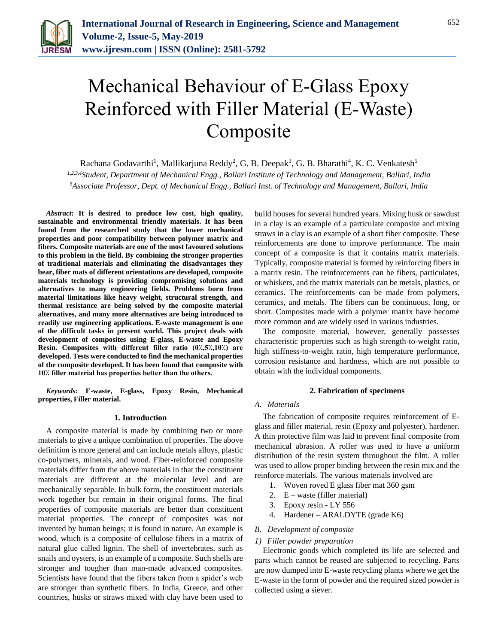

# Mechanical Behaviour of E-Glass Epoxy Reinforced with Filler Material (E-Waste) Composite

Rachana Godavarthi<sup>1</sup>, Mallikarjuna Reddy<sup>2</sup>, G. B. Deepak $^3$ , G. B. Bharathi $^4$ , K. C. Venkatesh $^5$ 

*1,2,3,4Student, Department of Mechanical Engg., Ballari Institute of Technology and Management, Ballari, India <sup>5</sup>Associate Professor, Dept. of Mechanical Engg., Ballari Inst. of Technology and Management, Ballari, India*

*Abstract***: It is desired to produce low cost, high quality, sustainable and environmental friendly materials. It has been found from the researched study that the lower mechanical properties and poor compatibility between polymer matrix and fibers. Composite materials are one of the most favoured solutions to this problem in the field. By combining the stronger properties of traditional materials and eliminating the disadvantages they bear, fiber mats of different orientations are developed, composite materials technology is providing compromising solutions and alternatives to many engineering fields. Problems born from material limitations like heavy weight, structural strength, and thermal resistance are being solved by the composite material alternatives, and many more alternatives are being introduced to readily use engineering applications. E-waste management is one of the difficult tasks in present world. This project deals with development of composites using E-glass, E-waste and Epoxy Resin. Composites with different filler ratio (0⁒,5⁒,10⁒) are developed. Tests were conducted to find the mechanical properties of the composite developed. It has been found that composite with 10⁒ filler material has properties better than the others.**

*Keywords***: E-waste, E-glass, Epoxy Resin, Mechanical properties, Filler material.**

#### **1. Introduction**

A composite material is made by combining two or more materials to give a unique combination of properties. The above definition is more general and can include metals alloys, plastic co-polymers, minerals, and wood. Fiber-reinforced composite materials differ from the above materials in that the constituent materials are different at the molecular level and are mechanically separable. In bulk form, the constituent materials work together but remain in their original forms. The final properties of composite materials are better than constituent material properties. The concept of composites was not invented by human beings; it is found in nature. An example is wood, which is a composite of cellulose fibers in a matrix of natural glue called lignin. The shell of invertebrates, such as snails and oysters, is an example of a composite. Such shells are stronger and tougher than man-made advanced composites. Scientists have found that the fibers taken from a spider's web are stronger than synthetic fibers. In India, Greece, and other countries, husks or straws mixed with clay have been used to

build houses for several hundred years. Mixing husk or sawdust in a clay is an example of a particulate composite and mixing straws in a clay is an example of a short fiber composite. These reinforcements are done to improve performance. The main concept of a composite is that it contains matrix materials. Typically, composite material is formed by reinforcing fibers in a matrix resin. The reinforcements can be fibers, particulates, or whiskers, and the matrix materials can be metals, plastics, or ceramics. The reinforcements can be made from polymers, ceramics, and metals. The fibers can be continuous, long, or short. Composites made with a polymer matrix have become more common and are widely used in various industries.

The composite material, however, generally possesses characteristic properties such as high strength-to-weight ratio, high stiffness-to-weight ratio, high temperature performance, corrosion resistance and hardness, which are not possible to obtain with the individual components.

#### **2. Fabrication of specimens**

#### *A. Materials*

The fabrication of composite requires reinforcement of Eglass and filler material, resin (Epoxy and polyester), hardener. A thin protective film was laid to prevent final composite from mechanical abrasion. A roller was used to have a uniform distribution of the resin system throughout the film. A roller was used to allow proper binding between the resin mix and the reinforce materials. The various materials involved are

- 1. Woven roved E glass fiber mat 360 gsm
- 2. E waste (filler material)
- 3. Epoxy resin LY 556
- 4. Hardener ARALDYTE (grade K6)

#### *B. Development of composite*

## *1) Filler powder preparation*

Electronic goods which completed its life are selected and parts which cannot be reused are subjected to recycling. Parts are now dumped into E-waste recycling plants where we get the E-waste in the form of powder and the required sized powder is collected using a siever.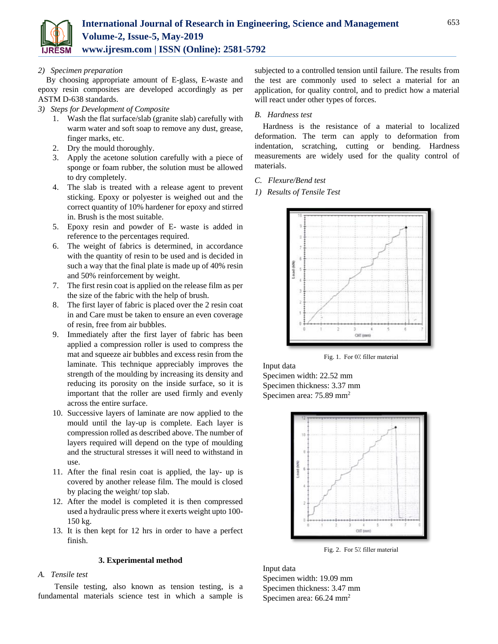

# *2) Specimen preparation*

By choosing appropriate amount of E-glass, E-waste and epoxy resin composites are developed accordingly as per ASTM D-638 standards.

- *3) Steps for Development of Composite*
	- 1. Wash the flat surface/slab (granite slab) carefully with warm water and soft soap to remove any dust, grease, finger marks, etc.
	- 2. Dry the mould thoroughly.
	- 3. Apply the acetone solution carefully with a piece of sponge or foam rubber, the solution must be allowed to dry completely.
	- 4. The slab is treated with a release agent to prevent sticking. Epoxy or polyester is weighed out and the correct quantity of 10% hardener for epoxy and stirred in. Brush is the most suitable.
	- 5. Epoxy resin and powder of E- waste is added in reference to the percentages required.
	- 6. The weight of fabrics is determined, in accordance with the quantity of resin to be used and is decided in such a way that the final plate is made up of 40% resin and 50% reinforcement by weight.
	- 7. The first resin coat is applied on the release film as per the size of the fabric with the help of brush.
	- 8. The first layer of fabric is placed over the 2 resin coat in and Care must be taken to ensure an even coverage of resin, free from air bubbles.
	- 9. Immediately after the first layer of fabric has been applied a compression roller is used to compress the mat and squeeze air bubbles and excess resin from the laminate. This technique appreciably improves the strength of the moulding by increasing its density and reducing its porosity on the inside surface, so it is important that the roller are used firmly and evenly across the entire surface.
	- 10. Successive layers of laminate are now applied to the mould until the lay-up is complete. Each layer is compression rolled as described above. The number of layers required will depend on the type of moulding and the structural stresses it will need to withstand in use.
	- 11. After the final resin coat is applied, the lay- up is covered by another release film. The mould is closed by placing the weight/ top slab.
	- 12. After the model is completed it is then compressed used a hydraulic press where it exerts weight upto 100- 150 kg.
	- 13. It is then kept for 12 hrs in order to have a perfect finish.

#### **3. Experimental method**

#### *A. Tensile test*

Tensile testing, also known as tension testing, is a fundamental materials science test in which a sample is subjected to a controlled tension until failure. The results from the test are commonly used to select a material for an application, for quality control, and to predict how a material will react under other types of forces.

## *B. Hardness test*

Hardness is the resistance of a material to localized deformation. The term can apply to deformation from indentation, scratching, cutting or bending. Hardness measurements are widely used for the quality control of materials.

- *C. Flexure/Bend test*
- *1) Results of Tensile Test*





Input data Specimen width: 22.52 mm Specimen thickness: 3.37 mm Specimen area: 75.89 mm<sup>2</sup>



Fig. 2. For 5% filler material

Input data Specimen width: 19.09 mm Specimen thickness: 3.47 mm Specimen area: 66.24 mm2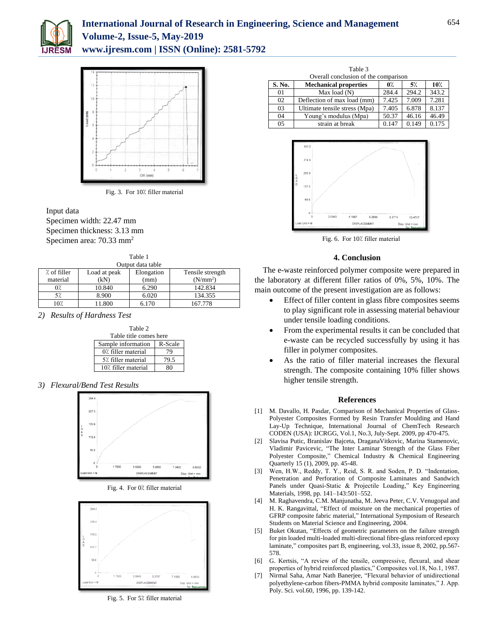



Fig. 3. For 10% filler material

Input data Specimen width: 22.47 mm Specimen thickness: 3.13 mm Specimen area: 70.33 mm<sup>2</sup>

|             |              | Table 1           |                      |  |
|-------------|--------------|-------------------|----------------------|--|
|             |              | Output data table |                      |  |
| % of filler | Load at peak | Elongation        | Tensile strength     |  |
| material    | (kN)         | (mm)              | (N/mm <sup>2</sup> ) |  |
| 0٪          | 10.840       | 6.290             | 142.834              |  |
|             | 8.900        | 6.020             | 134.355              |  |

10% 11.800 6.170 167.778

*2) Results of Hardness Test*

| Table 2                |         |  |  |  |  |
|------------------------|---------|--|--|--|--|
| Table title comes here |         |  |  |  |  |
| Sample information     | R-Scale |  |  |  |  |
| 07. filler material    | 79      |  |  |  |  |
| 5% filler material     | 79.5    |  |  |  |  |
| 10% filler material    |         |  |  |  |  |

# *3) Flexural/Bend Test Results*







Fig. 5. For 5% filler material

| Table 3                              |                               |       |       |                 |  |  |  |  |
|--------------------------------------|-------------------------------|-------|-------|-----------------|--|--|--|--|
| Overall conclusion of the comparison |                               |       |       |                 |  |  |  |  |
| S. No.                               | <b>Mechanical properties</b>  | $0\%$ | 5%    | $10^{\prime}$ . |  |  |  |  |
| 01                                   | Max load (N)                  | 284.4 | 294.2 | 343.2           |  |  |  |  |
| 02                                   | Deflection of max load (mm)   | 7.425 | 7.009 | 7.281           |  |  |  |  |
| 03                                   | Ultimate tensile stress (Mpa) | 7.405 | 6.878 | 8.137           |  |  |  |  |
| 04                                   | Young's modulus (Mpa)         | 50.37 | 46.16 | 46.49           |  |  |  |  |
| 05                                   | strain at break               | 0.147 | 0.149 | 0.175           |  |  |  |  |



Fig. 6. For 10% filler material

# **4. Conclusion**

The e-waste reinforced polymer composite were prepared in the laboratory at different filler ratios of 0%, 5%, 10%. The main outcome of the present investigation are as follows:

- Effect of filler content in glass fibre composites seems to play significant role in assessing material behaviour under tensile loading conditions.
- From the experimental results it can be concluded that e-waste can be recycled successfully by using it has filler in polymer composites.
- As the ratio of filler material increases the flexural strength. The composite containing 10% filler shows higher tensile strength.

# **References**

- [1] M. Davallo, H. Pasdar, Comparison of Mechanical Properties of Glass-Polyester Composites Formed by Resin Transfer Moulding and Hand Lay-Up Technique, International Journal of ChemTech Research CODEN (USA): IJCRGG, Vol.1, No.3, July-Sept. 2009, pp 470-475.
- [2] Slavisa Putic, Branislav Bajceta, DraganaVitkovic, Marina Stamenovic, Vladimir Pavicevic, "The Inter Laminar Strength of the Glass Fiber Polyester Composite," Chemical Industry & Chemical Engineering Quarterly 15 (1), 2009, pp. 45-48.
- [3] Wen, H.W., Reddy, T. Y., Reid, S. R. and Soden, P. D. "Indentation, Penetration and Perforation of Composite Laminates and Sandwich Panels under Quasi-Static & Projectile Loading," Key Engineering Materials, 1998, pp. 141–143:501–552.
- [4] M. Raghavendra, C.M. Manjunatha, M. Jeeva Peter, C.V. Venugopal and H. K. Rangavittal, "Effect of moisture on the mechanical properties of GFRP composite fabric material," International Symposium of Research Students on Material Science and Engineering, 2004.
- [5] Buket Okutan, "Effects of geometric parameters on the failure strength for pin loaded multi-loaded multi-directional fibre-glass reinforced epoxy laminate," composites part B, engineering, vol.33, issue 8, 2002, pp.567- 578.
- [6] G. Kertsis, "A review of the tensile, compressive, flexural, and shear properties of hybrid reinforced plastics," Composites vol.18, No.1, 1987.
- [7] Nirmal Saha, Amar Nath Banerjee, "Flexural behavior of unidirectional polyethylene-carbon fibers-PMMA hybrid composite laminates," J. App. Poly. Sci. vol.60, 1996, pp. 139-142.